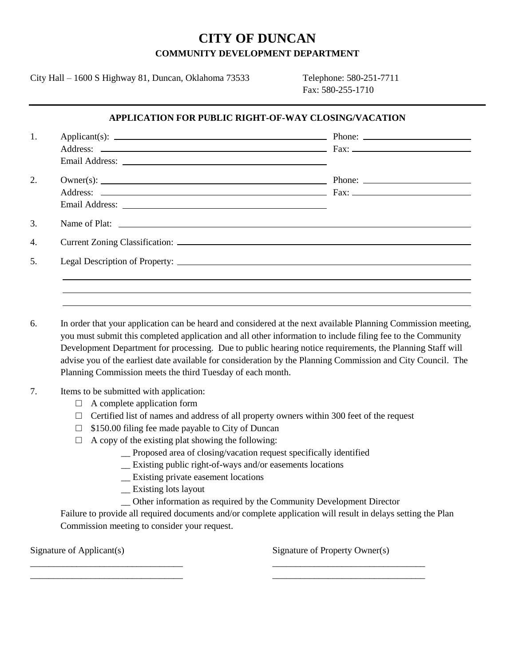# **CITY OF DUNCAN COMMUNITY DEVELOPMENT DEPARTMENT**

City Hall – 1600 S Highway 81, Duncan, Oklahoma 73533 Telephone: 580-251-7711

Fax: 580-255-1710

#### **APPLICATION FOR PUBLIC RIGHT-OF-WAY CLOSING/VACATION**

| 1. |  |
|----|--|
|    |  |
|    |  |
| 2. |  |
|    |  |
|    |  |
| 3. |  |
| 4. |  |
| 5. |  |
|    |  |
|    |  |
|    |  |

6. In order that your application can be heard and considered at the next available Planning Commission meeting, you must submit this completed application and all other information to include filing fee to the Community Development Department for processing. Due to public hearing notice requirements, the Planning Staff will advise you of the earliest date available for consideration by the Planning Commission and City Council. The Planning Commission meets the third Tuesday of each month.

#### 7. Items to be submitted with application:

- $\Box$  A complete application form
- $\Box$  Certified list of names and address of all property owners within 300 feet of the request
- $\Box$  \$150.00 filing fee made payable to City of Duncan
- $\Box$  A copy of the existing plat showing the following:
	- \_\_ Proposed area of closing/vacation request specifically identified
	- \_\_ Existing public right-of-ways and/or easements locations

\_\_\_\_\_\_\_\_\_\_\_\_\_\_\_\_\_\_\_\_\_\_\_\_\_\_\_\_\_\_\_\_\_ \_\_\_\_\_\_\_\_\_\_\_\_\_\_\_\_\_\_\_\_\_\_\_\_\_\_\_\_\_\_\_\_\_ \_\_\_\_\_\_\_\_\_\_\_\_\_\_\_\_\_\_\_\_\_\_\_\_\_\_\_\_\_\_\_\_\_ \_\_\_\_\_\_\_\_\_\_\_\_\_\_\_\_\_\_\_\_\_\_\_\_\_\_\_\_\_\_\_\_\_

- \_\_ Existing private easement locations
- \_\_ Existing lots layout
- \_\_ Other information as required by the Community Development Director

Failure to provide all required documents and/or complete application will result in delays setting the Plan Commission meeting to consider your request.

Signature of Applicant(s) Signature of Property Owner(s)